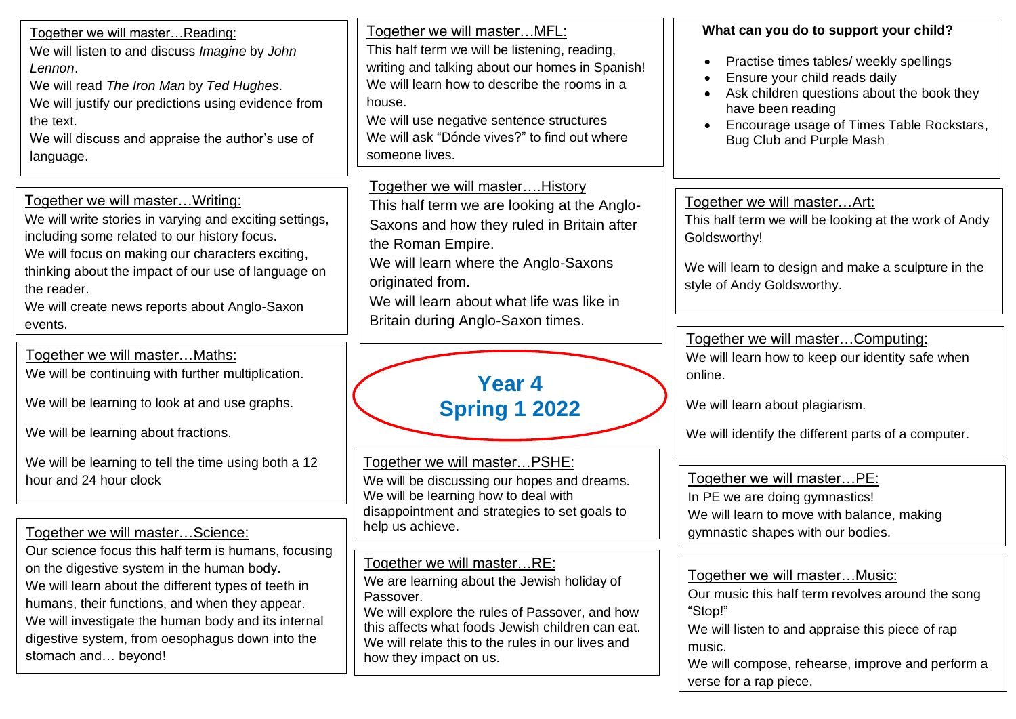| Together we will masterReading:<br>We will listen to and discuss Imagine by John<br>Lennon.<br>We will read The Iron Man by Ted Hughes.<br>We will justify our predictions using evidence from<br>the text.<br>We will discuss and appraise the author's use of<br>language.                                                                 | Together we will master MFL:<br>This half term we will be listening, reading,<br>writing and talking about our homes in Spanish!<br>We will learn how to describe the rooms in a<br>house.<br>We will use negative sentence structures<br>We will ask "Dónde vives?" to find out where<br>someone lives. | What can you do to support your child?<br>Practise times tables/ weekly spellings<br>Ensure your child reads daily<br>Ask children questions about the book they<br>have been reading<br>Encourage usage of Times Table Rockstars,<br>Bug Club and Purple Mash |
|----------------------------------------------------------------------------------------------------------------------------------------------------------------------------------------------------------------------------------------------------------------------------------------------------------------------------------------------|----------------------------------------------------------------------------------------------------------------------------------------------------------------------------------------------------------------------------------------------------------------------------------------------------------|----------------------------------------------------------------------------------------------------------------------------------------------------------------------------------------------------------------------------------------------------------------|
| Together we will master Writing:<br>We will write stories in varying and exciting settings,<br>including some related to our history focus.<br>We will focus on making our characters exciting,<br>thinking about the impact of our use of language on<br>the reader.<br>We will create news reports about Anglo-Saxon<br>events.            | Together we will masterHistory<br>This half term we are looking at the Anglo-<br>Saxons and how they ruled in Britain after<br>the Roman Empire.<br>We will learn where the Anglo-Saxons<br>originated from.<br>We will learn about what life was like in<br>Britain during Anglo-Saxon times.           | Together we will masterArt:<br>This half term we will be looking at the work of Andy<br>Goldsworthy!<br>We will learn to design and make a sculpture in the<br>style of Andy Goldsworthy.                                                                      |
| Together we will masterMaths:<br>We will be continuing with further multiplication.<br>We will be learning to look at and use graphs.<br>We will be learning about fractions.                                                                                                                                                                | Year 4<br><b>Spring 1 2022</b>                                                                                                                                                                                                                                                                           | Together we will masterComputing:<br>We will learn how to keep our identity safe when<br>online.<br>We will learn about plagiarism.<br>We will identify the different parts of a computer.                                                                     |
| We will be learning to tell the time using both a 12<br>hour and 24 hour clock<br>Together we will masterScience:                                                                                                                                                                                                                            | Together we will master PSHE:<br>We will be discussing our hopes and dreams.<br>We will be learning how to deal with<br>disappointment and strategies to set goals to<br>help us achieve.                                                                                                                | Together we will masterPE:<br>In PE we are doing gymnastics!<br>We will learn to move with balance, making<br>gymnastic shapes with our bodies.                                                                                                                |
| Our science focus this half term is humans, focusing<br>on the digestive system in the human body.<br>We will learn about the different types of teeth in<br>humans, their functions, and when they appear.<br>We will investigate the human body and its internal<br>digestive system, from oesophagus down into the<br>stomach and beyond! | Together we will masterRE:<br>We are learning about the Jewish holiday of<br>Passover.<br>We will explore the rules of Passover, and how<br>this affects what foods Jewish children can eat.<br>We will relate this to the rules in our lives and<br>how they impact on us.                              | Together we will masterMusic:<br>Our music this half term revolves around the song<br>"Stop!"<br>We will listen to and appraise this piece of rap<br>music.<br>We will compose, rehearse, improve and perform a<br>verse for a rap piece.                      |